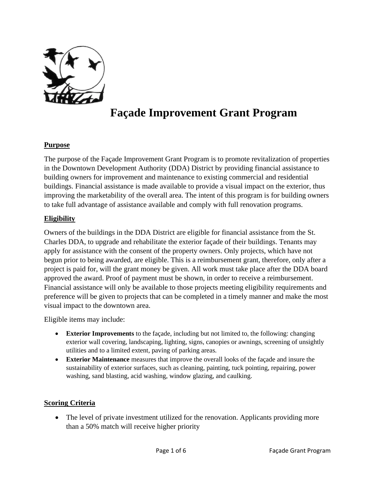

## **Façade Improvement Grant Program**

### **Purpose**

The purpose of the Façade Improvement Grant Program is to promote revitalization of properties in the Downtown Development Authority (DDA) District by providing financial assistance to building owners for improvement and maintenance to existing commercial and residential buildings. Financial assistance is made available to provide a visual impact on the exterior, thus improving the marketability of the overall area. The intent of this program is for building owners to take full advantage of assistance available and comply with full renovation programs.

#### **Eligibility**

Owners of the buildings in the DDA District are eligible for financial assistance from the St. Charles DDA, to upgrade and rehabilitate the exterior façade of their buildings. Tenants may apply for assistance with the consent of the property owners. Only projects, which have not begun prior to being awarded, are eligible. This is a reimbursement grant, therefore, only after a project is paid for, will the grant money be given. All work must take place after the DDA board approved the award. Proof of payment must be shown, in order to receive a reimbursement. Financial assistance will only be available to those projects meeting eligibility requirements and preference will be given to projects that can be completed in a timely manner and make the most visual impact to the downtown area.

Eligible items may include:

- **Exterior Improvements** to the façade, including but not limited to, the following: changing exterior wall covering, landscaping, lighting, signs, canopies or awnings, screening of unsightly utilities and to a limited extent, paving of parking areas.
- **Exterior Maintenance** measures that improve the overall looks of the façade and insure the sustainability of exterior surfaces, such as cleaning, painting, tuck pointing, repairing, power washing, sand blasting, acid washing, window glazing, and caulking.

#### **Scoring Criteria**

• The level of private investment utilized for the renovation. Applicants providing more than a 50% match will receive higher priority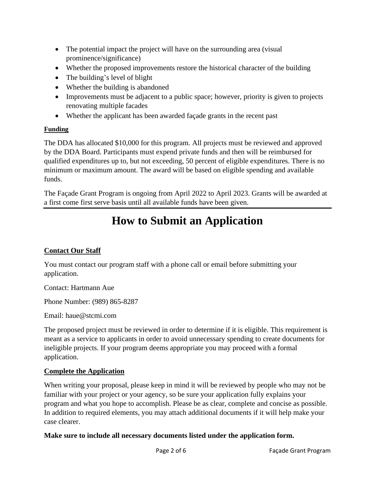- The potential impact the project will have on the surrounding area (visual prominence/significance)
- Whether the proposed improvements restore the historical character of the building
- The building's level of blight
- Whether the building is abandoned
- Improvements must be adjacent to a public space; however, priority is given to projects renovating multiple facades
- Whether the applicant has been awarded façade grants in the recent past

### **Funding**

The DDA has allocated \$10,000 for this program. All projects must be reviewed and approved by the DDA Board. Participants must expend private funds and then will be reimbursed for qualified expenditures up to, but not exceeding, 50 percent of eligible expenditures. There is no minimum or maximum amount. The award will be based on eligible spending and available funds.

The Façade Grant Program is ongoing from April 2022 to April 2023. Grants will be awarded at a first come first serve basis until all available funds have been given.

## **How to Submit an Application**

## **Contact Our Staff**

You must contact our program staff with a phone call or email before submitting your application.

Contact: Hartmann Aue

Phone Number: (989) 865-8287

Email: haue@stcmi.com

The proposed project must be reviewed in order to determine if it is eligible. This requirement is meant as a service to applicants in order to avoid unnecessary spending to create documents for ineligible projects. If your program deems appropriate you may proceed with a formal application.

## **Complete the Application**

When writing your proposal, please keep in mind it will be reviewed by people who may not be familiar with your project or your agency, so be sure your application fully explains your program and what you hope to accomplish. Please be as clear, complete and concise as possible. In addition to required elements, you may attach additional documents if it will help make your case clearer.

**Make sure to include all necessary documents listed under the application form.**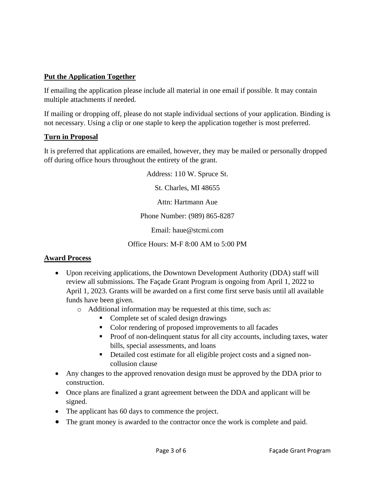### **Put the Application Together**

If emailing the application please include all material in one email if possible. It may contain multiple attachments if needed.

If mailing or dropping off, please do not staple individual sections of your application. Binding is not necessary. Using a clip or one staple to keep the application together is most preferred.

### **Turn in Proposal**

It is preferred that applications are emailed, however, they may be mailed or personally dropped off during office hours throughout the entirety of the grant.

Address: 110 W. Spruce St.

St. Charles, MI 48655

Attn: Hartmann Aue

Phone Number: (989) 865-8287

Email: haue@stcmi.com

Office Hours: M-F 8:00 AM to 5:00 PM

### **Award Process**

- Upon receiving applications, the Downtown Development Authority (DDA) staff will review all submissions. The Façade Grant Program is ongoing from April 1, 2022 to April 1, 2023. Grants will be awarded on a first come first serve basis until all available funds have been given.
	- o Additional information may be requested at this time, such as:
		- Complete set of scaled design drawings
		- Color rendering of proposed improvements to all facades
		- Proof of non-delinquent status for all city accounts, including taxes, water bills, special assessments, and loans
		- Detailed cost estimate for all eligible project costs and a signed noncollusion clause
- Any changes to the approved renovation design must be approved by the DDA prior to construction.
- Once plans are finalized a grant agreement between the DDA and applicant will be signed.
- The applicant has 60 days to commence the project.
- The grant money is awarded to the contractor once the work is complete and paid.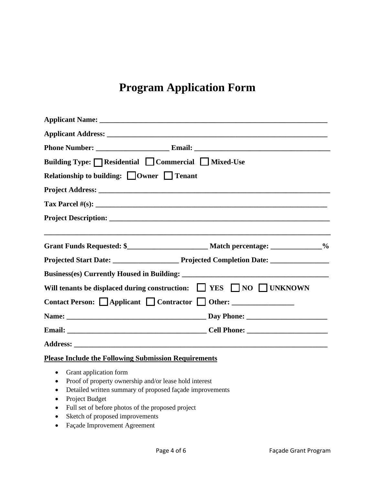# **Program Application Form**

| Building Type: □ Residential □ Commercial □ Mixed-Use<br>Relationship to building: Owner Tenant |  |  |  |  |  |
|-------------------------------------------------------------------------------------------------|--|--|--|--|--|
|                                                                                                 |  |  |  |  |  |
|                                                                                                 |  |  |  |  |  |
|                                                                                                 |  |  |  |  |  |
|                                                                                                 |  |  |  |  |  |
|                                                                                                 |  |  |  |  |  |
| Will tenants be displaced during construction: T YES NO TUNKNOWN                                |  |  |  |  |  |
| Contact Person: Applicant Contractor Other: _______________                                     |  |  |  |  |  |
|                                                                                                 |  |  |  |  |  |
|                                                                                                 |  |  |  |  |  |
|                                                                                                 |  |  |  |  |  |
| <b>Please Include the Following Submission Requirements</b>                                     |  |  |  |  |  |

- Grant application form
- Proof of property ownership and/or lease hold interest
- Detailed written summary of proposed façade improvements
- Project Budget
- Full set of before photos of the proposed project
- Sketch of proposed improvements
- Façade Improvement Agreement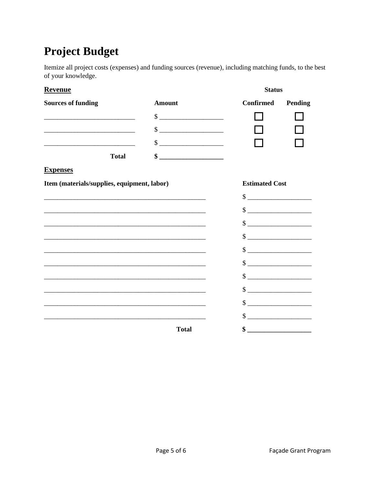## **Project Budget**

Itemize all project costs (expenses) and funding sources (revenue), including matching funds, to the best of your knowledge.

| <b>Revenue</b>                                                                                                        |                             | <b>Status</b>                                                                                                                                                                                                                                                                                                       |         |
|-----------------------------------------------------------------------------------------------------------------------|-----------------------------|---------------------------------------------------------------------------------------------------------------------------------------------------------------------------------------------------------------------------------------------------------------------------------------------------------------------|---------|
| <b>Sources of funding</b>                                                                                             | <b>Amount</b>               | Confirmed                                                                                                                                                                                                                                                                                                           | Pending |
|                                                                                                                       | $\frac{1}{1}$               |                                                                                                                                                                                                                                                                                                                     |         |
| <u> 1989 - Johann Harry Barn, mars and de Branch and de Branch and de Branch and de Branch and de Branch and de B</u> | $\frac{1}{2}$               |                                                                                                                                                                                                                                                                                                                     |         |
|                                                                                                                       | $\frac{1}{1}$               |                                                                                                                                                                                                                                                                                                                     |         |
| <b>Total</b>                                                                                                          | $\frac{\text{S}}{\text{S}}$ |                                                                                                                                                                                                                                                                                                                     |         |
| <b>Expenses</b>                                                                                                       |                             |                                                                                                                                                                                                                                                                                                                     |         |
| Item (materials/supplies, equipment, labor)                                                                           |                             | <b>Estimated Cost</b>                                                                                                                                                                                                                                                                                               |         |
|                                                                                                                       |                             |                                                                                                                                                                                                                                                                                                                     |         |
|                                                                                                                       |                             |                                                                                                                                                                                                                                                                                                                     |         |
| <u> 1989 - Johann Barn, mars ann an t-Amhain ann an t-Amhain ann an t-Amhain ann an t-Amhain an t-Amhain an t-A</u>   |                             |                                                                                                                                                                                                                                                                                                                     |         |
| <u> 1989 - Johann John Stone, markin film ar yn y brenin y brenin y brenin y brenin y brenin y brenin y brenin y</u>  |                             | $\frac{\text{S}}{\text{S}}$                                                                                                                                                                                                                                                                                         |         |
| <u> 1989 - Johann Barn, mars an t-Amerikaansk politiker (* 1908)</u>                                                  |                             | $\frac{\text{S}}{\text{S}}$                                                                                                                                                                                                                                                                                         |         |
|                                                                                                                       |                             | $\frac{\text{S}}{\text{S}}$                                                                                                                                                                                                                                                                                         |         |
| <u> 1989 - Johann John Stone, markin sanat masjid ayyı bir alan bir alan bir alan bir alan bir alan bir alan bir</u>  |                             | $\frac{\text{S}}{\text{S}}$                                                                                                                                                                                                                                                                                         |         |
|                                                                                                                       |                             | $\frac{1}{2}$ $\frac{1}{2}$ $\frac{1}{2}$ $\frac{1}{2}$ $\frac{1}{2}$ $\frac{1}{2}$ $\frac{1}{2}$ $\frac{1}{2}$ $\frac{1}{2}$ $\frac{1}{2}$ $\frac{1}{2}$ $\frac{1}{2}$ $\frac{1}{2}$ $\frac{1}{2}$ $\frac{1}{2}$ $\frac{1}{2}$ $\frac{1}{2}$ $\frac{1}{2}$ $\frac{1}{2}$ $\frac{1}{2}$ $\frac{1}{2}$ $\frac{1}{2}$ |         |
|                                                                                                                       |                             | $\frac{1}{2}$ $\frac{1}{2}$ $\frac{1}{2}$ $\frac{1}{2}$ $\frac{1}{2}$ $\frac{1}{2}$ $\frac{1}{2}$ $\frac{1}{2}$ $\frac{1}{2}$ $\frac{1}{2}$ $\frac{1}{2}$ $\frac{1}{2}$ $\frac{1}{2}$ $\frac{1}{2}$ $\frac{1}{2}$ $\frac{1}{2}$ $\frac{1}{2}$ $\frac{1}{2}$ $\frac{1}{2}$ $\frac{1}{2}$ $\frac{1}{2}$ $\frac{1}{2}$ |         |
|                                                                                                                       |                             | $\frac{1}{2}$ $\frac{1}{2}$ $\frac{1}{2}$ $\frac{1}{2}$ $\frac{1}{2}$ $\frac{1}{2}$ $\frac{1}{2}$ $\frac{1}{2}$ $\frac{1}{2}$ $\frac{1}{2}$ $\frac{1}{2}$ $\frac{1}{2}$ $\frac{1}{2}$ $\frac{1}{2}$ $\frac{1}{2}$ $\frac{1}{2}$ $\frac{1}{2}$ $\frac{1}{2}$ $\frac{1}{2}$ $\frac{1}{2}$ $\frac{1}{2}$ $\frac{1}{2}$ |         |
|                                                                                                                       | <b>Total</b>                |                                                                                                                                                                                                                                                                                                                     |         |